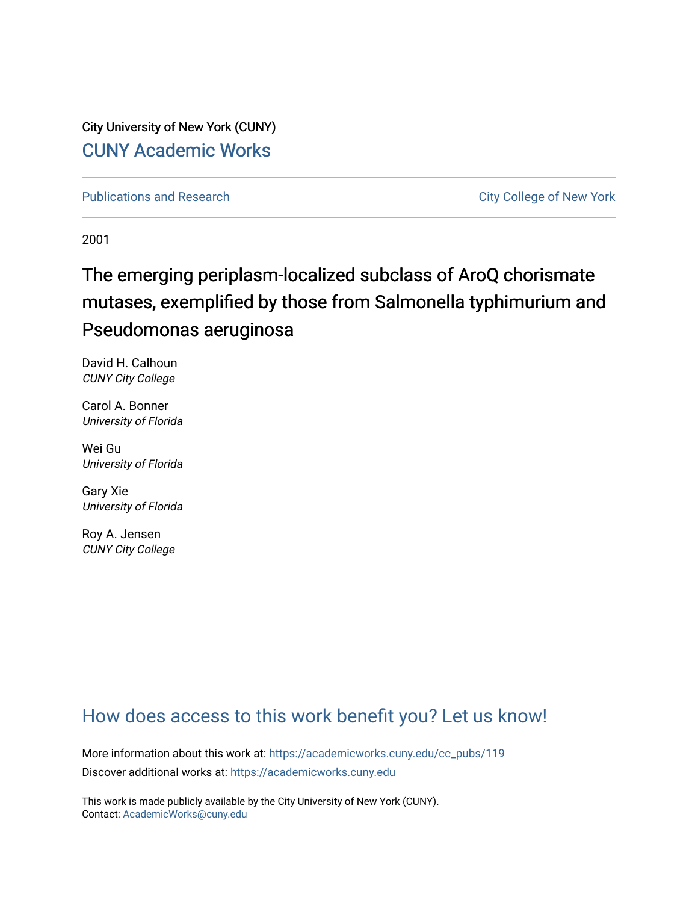City University of New York (CUNY) [CUNY Academic Works](https://academicworks.cuny.edu/) 

[Publications and Research](https://academicworks.cuny.edu/cc_pubs) **City College of New York** Publications and Research

2001

# The emerging periplasm-localized subclass of AroQ chorismate mutases, exemplified by those from Salmonella typhimurium and Pseudomonas aeruginosa

David H. Calhoun CUNY City College

Carol A. Bonner University of Florida

Wei Gu University of Florida

Gary Xie University of Florida

Roy A. Jensen CUNY City College

# [How does access to this work benefit you? Let us know!](http://ols.cuny.edu/academicworks/?ref=https://academicworks.cuny.edu/cc_pubs/119)

More information about this work at: [https://academicworks.cuny.edu/cc\\_pubs/119](https://academicworks.cuny.edu/cc_pubs/119)  Discover additional works at: [https://academicworks.cuny.edu](https://academicworks.cuny.edu/?)

This work is made publicly available by the City University of New York (CUNY). Contact: [AcademicWorks@cuny.edu](mailto:AcademicWorks@cuny.edu)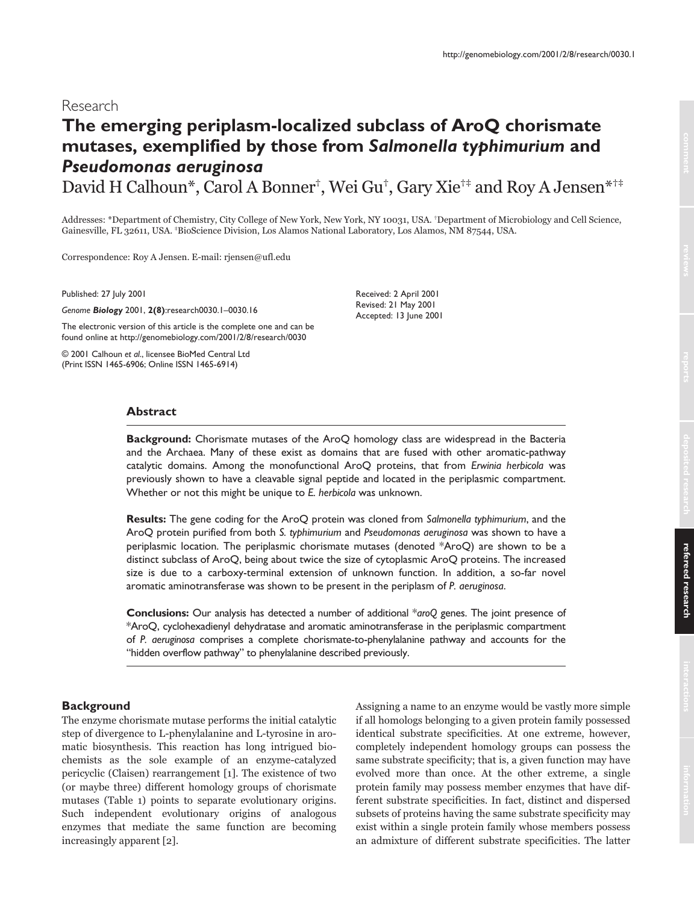# Research

# **The emerging periplasm-localized subclass of AroQ chorismate mutases, exemplified by those from** *Salmonella typhimurium* **and** *Pseudomonas aeruginosa*

David H Calhoun\*, Carol A Bonner<sup>†</sup>, Wei Gu<sup>†</sup>, Gary Xie<sup>†‡</sup> and Roy A Jensen\*<sup>†‡</sup>

Addresses: \*Department of Chemistry, City College of New York, New York, NY 10031, USA. †Department of Microbiology and Cell Science, Gainesville, FL 32611, USA. \*BioScience Division, Los Alamos National Laboratory, Los Alamos, NM 87544, USA.

Correspondence: Roy A Jensen. E-mail: rjensen@ufl.edu

Published: 27 July 2001

*Genome Biology* 2001, **2(8)**:research0030.1–0030.16

The electronic version of this article is the complete one and can be found online at http://genomebiology.com/2001/2/8/research/0030

© 2001 Calhoun *et al*., licensee BioMed Central Ltd (Print ISSN 1465-6906; Online ISSN 1465-6914)

Received: 2 April 2001 Revised: 21 May 2001 Accepted: 13 June 2001

## **Abstract**

**Background:** Chorismate mutases of the AroQ homology class are widespread in the Bacteria and the Archaea. Many of these exist as domains that are fused with other aromatic-pathway catalytic domains. Among the monofunctional AroQ proteins, that from *Erwinia herbicola* was previously shown to have a cleavable signal peptide and located in the periplasmic compartment. Whether or not this might be unique to *E. herbicola* was unknown.

**Results:** The gene coding for the AroQ protein was cloned from *Salmonella typhimurium*, and the AroQ protein purified from both *S. typhimurium* and *Pseudomonas aeruginosa* was shown to have a periplasmic location. The periplasmic chorismate mutases (denoted \*AroQ) are shown to be a distinct subclass of AroQ, being about twice the size of cytoplasmic AroQ proteins. The increased size is due to a carboxy-terminal extension of unknown function. In addition, a so-far novel aromatic aminotransferase was shown to be present in the periplasm of *P. aeruginosa*.

**Conclusions:** Our analysis has detected a number of additional \**aroQ* genes. The joint presence of \*AroQ, cyclohexadienyl dehydratase and aromatic aminotransferase in the periplasmic compartment of *P. aeruginosa* comprises a complete chorismate-to-phenylalanine pathway and accounts for the "hidden overflow pathway" to phenylalanine described previously.

## **Background**

The enzyme chorismate mutase performs the initial catalytic step of divergence to L-phenylalanine and L-tyrosine in aromatic biosynthesis. This reaction has long intrigued biochemists as the sole example of an enzyme-catalyzed pericyclic (Claisen) rearrangement [1]. The existence of two (or maybe three) different homology groups of chorismate mutases (Table 1) points to separate evolutionary origins. Such independent evolutionary origins of analogous enzymes that mediate the same function are becoming increasingly apparent [2].

Assigning a name to an enzyme would be vastly more simple if all homologs belonging to a given protein family possessed identical substrate specificities. At one extreme, however, completely independent homology groups can possess the same substrate specificity; that is, a given function may have evolved more than once. At the other extreme, a single protein family may possess member enzymes that have different substrate specificities. In fact, distinct and dispersed subsets of proteins having the same substrate specificity may exist within a single protein family whose members possess an admixture of different substrate specificities. The latter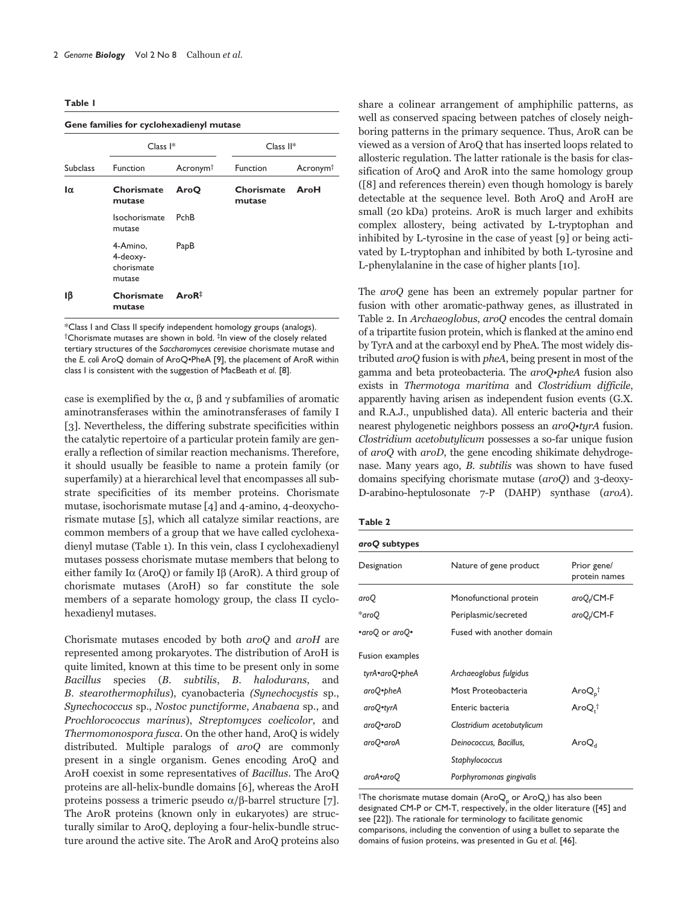| Gene families for cyclohexadienyl mutase |                                              |                      |                      |                      |  |
|------------------------------------------|----------------------------------------------|----------------------|----------------------|----------------------|--|
|                                          | Class <sup><math> </math>*</sup>             | $Class II*$          |                      |                      |  |
| <b>Subclass</b>                          | Function                                     | Acronym <sup>†</sup> | Function             | Acronym <sup>†</sup> |  |
| $\alpha$                                 | Chorismate<br>mutase                         | AroO                 | Chorismate<br>mutase | AroH                 |  |
|                                          | Isochorismate<br>mutase                      | <b>PchB</b>          |                      |                      |  |
|                                          | 4-Amino,<br>4-deoxy-<br>chorismate<br>mutase | PapB                 |                      |                      |  |
| Iβ                                       | Chorismate<br>mutase                         | AroR <sup>‡</sup>    |                      |                      |  |

\*Class I and Class II specify independent homology groups (analogs). †Chorismate mutases are shown in bold. ‡In view of the closely related tertiary structures of the *Saccharomyces cerevisiae* chorismate mutase and the *E. coli* AroQ domain of AroQ•PheA [9], the placement of AroR within class I is consistent with the suggestion of MacBeath *et al*. [8].

case is exemplified by the  $\alpha$ ,  $\beta$  and  $\gamma$  subfamilies of aromatic aminotransferases within the aminotransferases of family I [3]. Nevertheless, the differing substrate specificities within the catalytic repertoire of a particular protein family are generally a reflection of similar reaction mechanisms. Therefore, it should usually be feasible to name a protein family (or superfamily) at a hierarchical level that encompasses all substrate specificities of its member proteins. Chorismate mutase, isochorismate mutase [4] and 4-amino, 4-deoxychorismate mutase [5], which all catalyze similar reactions, are common members of a group that we have called cyclohexadienyl mutase (Table 1). In this vein, class I cyclohexadienyl mutases possess chorismate mutase members that belong to either family I $\alpha$  (AroQ) or family I $\beta$  (AroR). A third group of chorismate mutases (AroH) so far constitute the sole members of a separate homology group, the class II cyclohexadienyl mutases.

Chorismate mutases encoded by both  $aroQ$  and  $aroH$  are represented among prokaryotes. The distribution of AroH is quite limited, known at this time to be present only in some Bacillus species (B. subtilis, B. halodurans, a and B. stearothermophilus), cyanobacteria (Synechocystis sp., Synechococcus sp., Nostoc punctiforme, Anabaena sp., and Prochlorococcus marinus), Streptomyces coelicolor, and *Thermomonospora fusca.* On the other hand, AroQ is widely distributed. Multiple paralogs of aroQ are commonly present in a single organism. Genes encoding AroQ and AroH coexist in some representatives of Bacillus. The AroQ proteins are all-helix-bundle domains [6], whereas the AroH proteins possess a trimeric pseudo  $\alpha/\beta$ -barrel structure [7]. The AroR proteins (known only in eukaryotes) are structurally similar to AroQ, deploying a four-helix-bundle structure around the active site. The AroR and AroQ proteins also share a colinear arrangement of amphiphilic patterns, as well as conserved spacing between patches of closely neighboring patterns in the primary sequence. Thus, AroR can be viewed as a version of AroQ that has inserted loops related to allosteric regulation. The latter rationale is the basis for classification of AroQ and AroR into the same homology group ([8] and references therein) even though homology is barely detectable at the sequence level. Both AroQ and AroH are small (20 kDa) proteins. AroR is much larger and exhibits complex allostery, being activated by L-tryptophan and inhibited by L-tyrosine in the case of yeast [9] or being activated by L-tryptophan and inhibited by both L-tyrosine and L-phenylalanine in the case of higher plants [10].

The *aroQ* gene has been an extremely popular partner for fusion with other aromatic-pathway genes, as illustrated in Table 2. In *Archaeoglobus, aroQ* encodes the central domain of a tripartite fusion protein, which is flanked at the amino end by TyrA and at the carboxyl end by PheA. The most widely distributed *aroQ* fusion is with *pheA*, being present in most of the gamma and beta proteobacteria. The *aroQ•pheA* fusion also exists in *Thermotoga maritima* and *Clostridium difficile*, apparently having arisen as independent fusion events (G.X. and R.A.J., unpublished data). All enteric bacteria and their nearest phylogenetic neighbors possess an aroQ•tyrA fusion. Clostridium acetobutylicum possesses a so-far unique fusion of aroQ with aroD, the gene encoding shikimate dehydrogenase. Many years ago, *B. subtilis* was shown to have fused domains specifying chorismate mutase (aroQ) and 3-deoxy-D-arabino-heptulosonate 7-P (DAHP) synthase (aroA).

| aroQ subtypes   |                            |                              |
|-----------------|----------------------------|------------------------------|
| Designation     | Nature of gene product     | Prior gene/<br>protein names |
| aroQ            | Monofunctional protein     | $aroQ$ <sub>d</sub> /CM-F    |
| *aroQ           | Periplasmic/secreted       | aroQ <sub>e</sub> /CM-F      |
| •aroQ or aroQ•  | Fused with another domain  |                              |
| Fusion examples |                            |                              |
| tyrA•aroQ•pheA  | Archaeoglobus fulgidus     |                              |
| aroQ•pheA       | Most Proteobacteria        | Aro $Q_{p}^{\dagger}$        |
| aroQ•tyrA       | Enteric bacteria           | AroQ. <sup>†</sup>           |
| aroQ•aroD       | Clostridium acetobutylicum |                              |
| aroQ•aroA       | Deinococcus, Bacillus,     | $\mathsf{AroQ}_{\mathsf{A}}$ |
|                 | Staphylococcus             |                              |
| aroA•aroQ       | Porphyromonas gingivalis   |                              |

 $^\dagger$ The chorismate mutase domain (Aro $\mathsf{Q}_\mathsf{p}$  or Aro $\mathsf{Q}_\mathsf{t}$ ) has also been designated CM-P or CM-T, respectively, in the older literature ([45] and see [22]). The rationale for terminology to facilitate genomic comparisons, including the convention of using a bullet to separate the domains of fusion proteins, was presented in Gu *et al*. [46].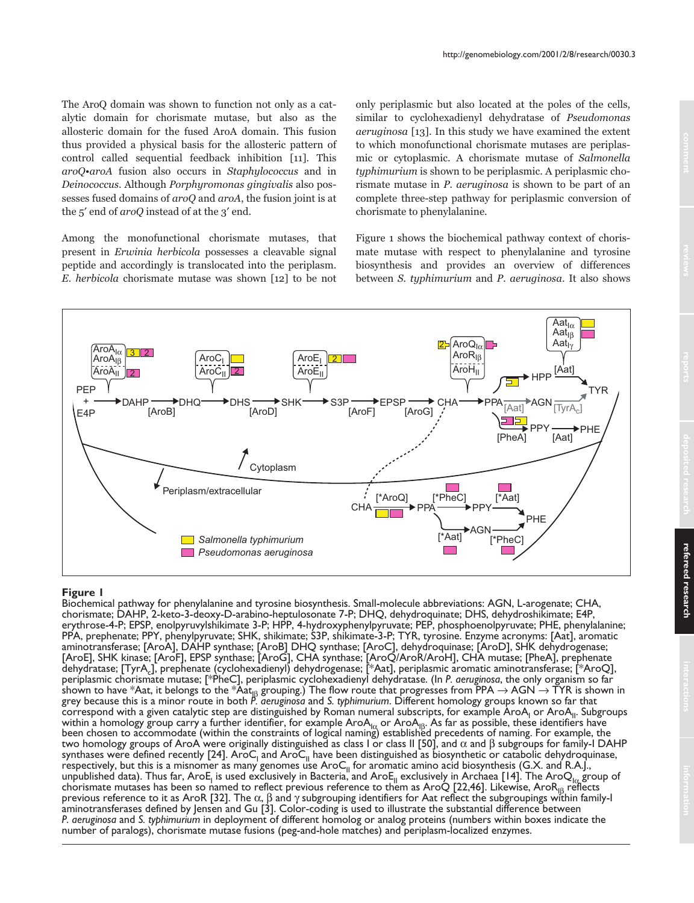The AroQ domain was shown to function not only as a catalytic domain for chorismate mutase, but also as the allosteric domain for the fused AroA domain. This fusion thus provided a physical basis for the allosteric pattern of control called sequential feedback inhibition [11]. This aroQ•aroA fusion also occurs in Staphylococcus and in Deinococcus. Although Porphyromonas gingivalis also possesses fused domains of aroQ and aroA, the fusion joint is at the 5' end of aroQ instead of at the 3' end.

Among the monofunctional chorismate mutases, that present in *Erwinia herbicola* possesses a cleavable signal peptide and accordingly is translocated into the periplasm. E. herbicola chorismate mutase was shown [12] to be not only periplasmic but also located at the poles of the cells, similar to cyclohexadienyl dehydratase of Pseudomonas aeruginosa [13]. In this study we have examined the extent to which monofunctional chorismate mutases are periplasmic or cytoplasmic. A chorismate mutase of Salmonella typhimurium is shown to be periplasmic. A periplasmic chorismate mutase in P. aeruginosa is shown to be part of an complete three-step pathway for periplasmic conversion of chorismate to phenylalanine.

Figure 1 shows the biochemical pathway context of chorismate mutase with respect to phenylalanine and tyrosine biosynthesis and provides an overview of differences between S. typhimurium and P. aeruginosa. It also shows



## **Figure 1**

Biochemical pathway for phenylalanine and tyrosine biosynthesis. Small-molecule abbreviations: AGN, L-arogenate; CHA, chorismate; DAHP, 2-keto-3-deoxy-D-arabino-heptulosonate 7-P; DHQ, dehydroquinate; DHS, dehydroshikimate; E4P, erythrose-4-P; EPSP, enolpyruvylshikimate 3-P; HPP, 4-hydroxyphenylpyruvate; PEP, phosphoenolpyruvate; PHE, phenylalanine; PPA, prephenate; PPY, phenylpyruvate; SHK, shikimate; S3P, shikimate-3-P; TYR, tyrosine. Enzyme acronyms: [Aat], aromatic aminotransferase; [AroA], DAHP synthase; [AroB] DHQ synthase; [AroC], dehydroquinase; [AroD], SHK dehydrogenase; [AroE], SHK kinase; [AroF], EPSP synthase; [AroG], CHA synthase; [AroQ/AroR/AroH], CHA mutase; [PheA], prephenate dehydratase; [TyrAc], prephenate (cyclohexadienyl) dehydrogenase; [\*Aat], periplasmic aromatic aminotransferase; [\*AroQ], periplasmic chorismate mutase; [\*PheC], periplasmic cyclohexadienyl dehydratase. (In *P. aeruginosa*, the only organism so far shown to have \*Aat, it belongs to the \*Aat<sub>|β</sub> grouping.) The flow route that progresses from PPA → AGN → TYR is shown in<br>grey because this is a minor route in both P. *aeruginosa* and S. *typhimurium. Different homology* correspond with a given catalytic step are distinguished by Roman numeral subscripts, for example AroA<sub>I</sub> or AroA<sub>II</sub>. Subgroups within a homology group carry a further identifier, for example AroA<sub>lα</sub> or AroA<sub>lβ</sub>. As far as possible, these identifiers have<br>been chosen to accommodate (within the constraints of logical naming) established precedents two homology groups of AroA were originally distinguished as class I or class II [50], and α and β subgroups for family-I DAHP synthases were defined recently [24]. AroC<sub>I</sub> and AroC<sub>II</sub> have been distinguished as biosynthetic or catabolic dehydroquinase, respectively, but this is a misnomer as many genomes use AroC<sub>II</sub> for aromatic amino acid biosynthesis (G.X. and R.A.J., unpublished data). Thus far, AroE<sub>I</sub> is used exclusively in Bacteria, and AroE<sub>II</sub> exclusively in Archaea [14]. The AroQ<sub>I $\alpha$ </sub> group of chorismate mutases has been so named to reflect previous reference to them as AroQ [22,46]. Likewise, AroR<sub>IB</sub> reflects previous reference to it as AroR [32]. The α, β and γ subgrouping identifiers for Aat reflect the subgroupings within family-I aminotransferases defined by Jensen and Gu [3]. Color-coding is used to illustrate the substantial difference between *P. aeruginosa* and *S. typhimurium* in deployment of different homolog or analog proteins (numbers within boxes indicate the number of paralogs), chorismate mutase fusions (peg-and-hole matches) and periplasm-localized enzymes.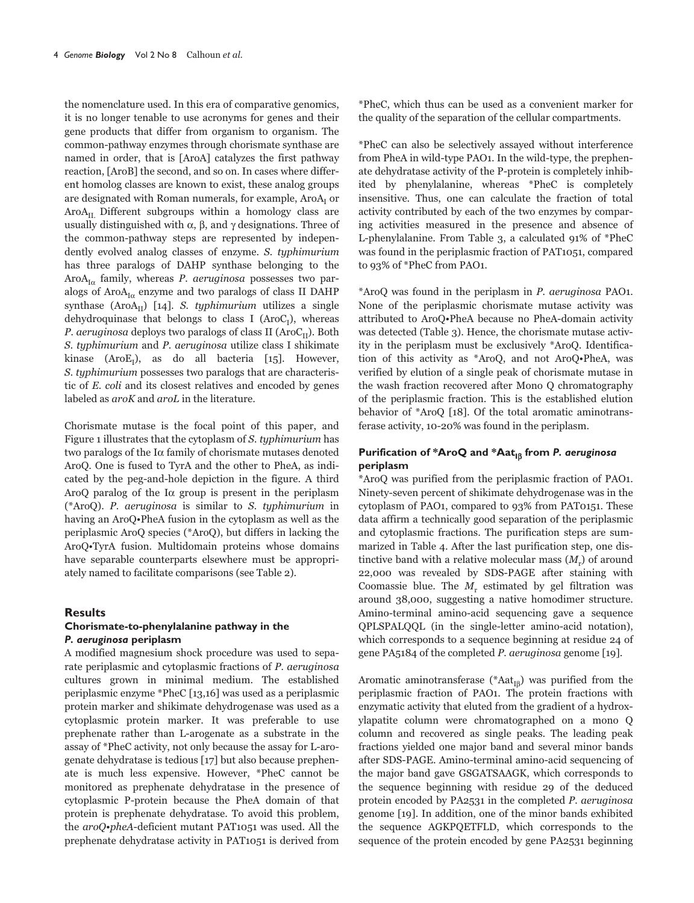the nomenclature used. In this era of comparative genomics, it is no longer tenable to use acronyms for genes and their gene products that differ from organism to organism. The common-pathway enzymes through chorismate synthase are named in order, that is [AroA] catalyzes the first pathway reaction, [AroB] the second, and so on. In cases where different homolog classes are known to exist, these analog groups are designated with Roman numerals, for example, AroA<sub>I</sub> or  $A\text{roA}_{\text{tr}}$  Different subgroups within a homology class are usually distinguished with  $\alpha$ ,  $\beta$ , and  $\gamma$  designations. Three of the common-pathway steps are represented by independently evolved analog classes of enzyme. S. typhimurium has three paralogs of DAHP synthase belonging to the  $A\text{roA}_{I\alpha}$  family, whereas *P. aeruginosa* possesses two paralogs of AroA<sub>Ia</sub> enzyme and two paralogs of class II DAHP synthase  $(AroA<sub>II</sub>)$  [14]. S. typhimurium utilizes a single dehydroquinase that belongs to class I ( $\text{AroC}_1$ ), whereas P. aeruginosa deploys two paralogs of class II ( $\text{AroC}_{\text{II}}$ ). Both S. typhimurium and P. aeruginosa utilize class I shikimate kinase (AroE<sub>I</sub>), as do all bacteria [15]. However, S. typhimurium possesses two paralogs that are characteristic of E. coli and its closest relatives and encoded by genes labeled as aroK and aroL in the literature.

Chorismate mutase is the focal point of this paper, and Figure 1 illustrates that the cytoplasm of S. typhimurium has two paralogs of the  $I\alpha$  family of chorismate mutases denoted AroQ. One is fused to TyrA and the other to PheA, as indicated by the peg-and-hole depiction in the figure. A third AroQ paralog of the Iα group is present in the periplasm (\*AroQ). P. aeruginosa is similar to S. typhimurium in having an AroQ. PheA fusion in the cytoplasm as well as the periplasmic AroQ species (\*AroQ), but differs in lacking the AroQ.TyrA fusion. Multidomain proteins whose domains have separable counterparts elsewhere must be appropriately named to facilitate comparisons (see Table 2).

#### **Results**

## Chorismate-to-phenylalanine pathway in the P. aeruginosa periplasm

A modified magnesium shock procedure was used to separate periplasmic and cytoplasmic fractions of P. aeruginosa cultures grown in minimal medium. The established periplasmic enzyme \*PheC [13,16] was used as a periplasmic protein marker and shikimate dehydrogenase was used as a cytoplasmic protein marker. It was preferable to use prephenate rather than L-arogenate as a substrate in the assay of \*PheC activity, not only because the assay for L-arogenate dehydratase is tedious [17] but also because prephenate is much less expensive. However, \*PheC cannot be monitored as prephenate dehydratase in the presence of cytoplasmic P-protein because the PheA domain of that protein is prephenate dehydratase. To avoid this problem, the aroQ•pheA-deficient mutant PAT1051 was used. All the prephenate dehydratase activity in PAT1051 is derived from \*PheC, which thus can be used as a convenient marker for the quality of the separation of the cellular compartments.

\*PheC can also be selectively assayed without interference from PheA in wild-type PAO1. In the wild-type, the prephenate dehydratase activity of the P-protein is completely inhibited by phenylalanine, whereas \*PheC is completely insensitive. Thus, one can calculate the fraction of total activity contributed by each of the two enzymes by comparing activities measured in the presence and absence of L-phenylalanine. From Table 3, a calculated 91% of \*PheC was found in the periplasmic fraction of PAT1051, compared to 93% of \*PheC from PAO1.

\*AroO was found in the periplasm in P. aeruginosa PAO1. None of the periplasmic chorismate mutase activity was attributed to AroQ.PheA because no PheA-domain activity was detected (Table 3). Hence, the chorismate mutase activity in the periplasm must be exclusively \*AroQ. Identification of this activity as \*AroQ, and not AroQ.PheA, was verified by elution of a single peak of chorismate mutase in the wash fraction recovered after Mono Q chromatography of the periplasmic fraction. This is the established elution behavior of \*AroQ [18]. Of the total aromatic aminotransferase activity, 10-20% was found in the periplasm.

## Purification of \*AroQ and \*Aat<sub>Iß</sub> from P. aeruginosa periplasm

\*AroQ was purified from the periplasmic fraction of PAO1. Ninety-seven percent of shikimate dehydrogenase was in the cytoplasm of PAO1, compared to 93% from PAT0151. These data affirm a technically good separation of the periplasmic and cytoplasmic fractions. The purification steps are summarized in Table 4. After the last purification step, one distinctive band with a relative molecular mass  $(M<sub>r</sub>)$  of around 22,000 was revealed by SDS-PAGE after staining with Coomassie blue. The  $M<sub>r</sub>$  estimated by gel filtration was around 38,000, suggesting a native homodimer structure. Amino-terminal amino-acid sequencing gave a sequence QPLSPALQQL (in the single-letter amino-acid notation), which corresponds to a sequence beginning at residue 24 of gene PA5184 of the completed P. aeruginosa genome [19].

Aromatic aminotransferase (\* $Aat_{IB}$ ) was purified from the periplasmic fraction of PAO1. The protein fractions with enzymatic activity that eluted from the gradient of a hydroxylapatite column were chromatographed on a mono Q column and recovered as single peaks. The leading peak fractions yielded one major band and several minor bands after SDS-PAGE. Amino-terminal amino-acid sequencing of the major band gave GSGATSAAGK, which corresponds to the sequence beginning with residue 29 of the deduced protein encoded by PA2531 in the completed P. aeruginosa genome [19]. In addition, one of the minor bands exhibited the sequence AGKPQETFLD, which corresponds to the sequence of the protein encoded by gene PA2531 beginning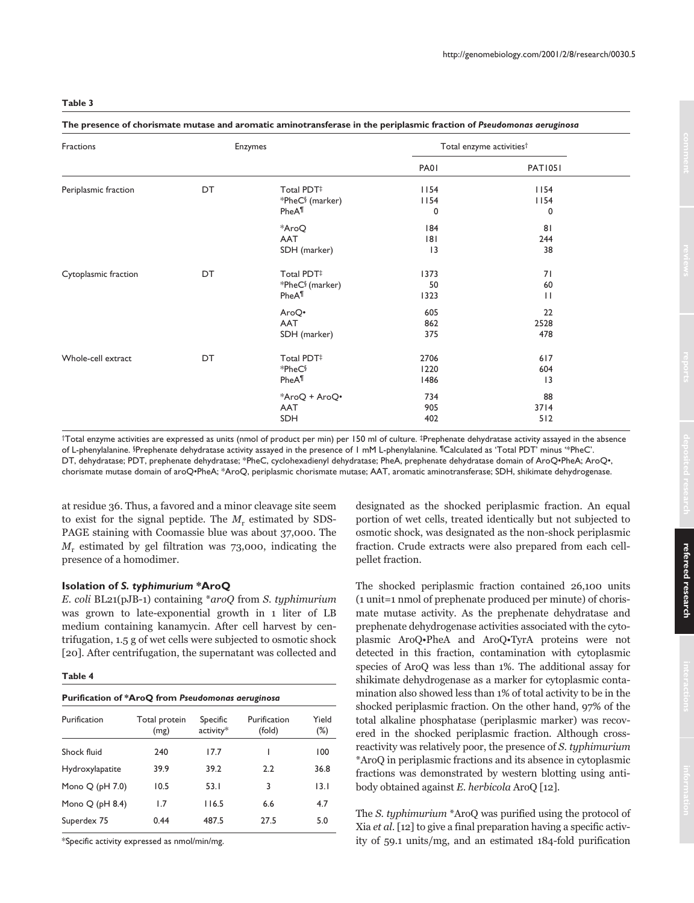#### The presence of chorismate mutase and aromatic aminotransferase in the periplasmic fraction of Pseudomonas aeruginosa

| Fractions            |    | Enzymes                                                        |                      | Total enzyme activities <sup>†</sup> |  |
|----------------------|----|----------------------------------------------------------------|----------------------|--------------------------------------|--|
|                      |    |                                                                | PA01                 | <b>PAT1051</b>                       |  |
| Periplasmic fraction | DT | Total PDT#<br>*PheC <sup>§</sup> (marker)<br>PheA <sup>¶</sup> | 1154<br>1154<br>0    | 1154<br>1154<br>$\mathbf 0$          |  |
|                      |    | *AroQ<br>AAT<br>SDH (marker)                                   | 184<br>181<br> 3     | 81<br>244<br>38                      |  |
| Cytoplasmic fraction | DT | Total PDT#<br>*PheC <sup>§</sup> (marker)<br>PheA <sup>¶</sup> | 1373<br>50<br>1323   | 71<br>60<br>$\perp$                  |  |
|                      |    | AroQ•<br>AAT<br>SDH (marker)                                   | 605<br>862<br>375    | 22<br>2528<br>478                    |  |
| Whole-cell extract   | DT | Total PDT#<br>*PheC§<br>PheA <sup>¶</sup>                      | 2706<br>1220<br>1486 | 617<br>604<br> 3                     |  |
|                      |    | *AroQ + AroQ•<br>AAT<br><b>SDH</b>                             | 734<br>905<br>402    | 88<br>$3714$<br>512                  |  |

†Total enzyme activities are expressed as units (nmol of product per min) per 150 ml of culture. ‡Prephenate dehydratase activity assayed in the absence of L-phenylalanine. §Prephenate dehydratase activity assayed in the presence of 1 mM L-phenylalanine. <sup>¶</sup>Calculated as 'Total PDT' minus '\*PheC'. DT, dehydratase; PDT, prephenate dehydratase; \*PheC, cyclohexadienyl dehydratase; PheA, prephenate dehydratase domain of AroQ·PheA; AroQ·, chorismate mutase domain of aroQ·PheA; \*AroQ, periplasmic chorismate mutase; AAT, aromatic aminotransferase; SDH, shikimate dehydrogenase.

at residue 36. Thus, a favored and a minor cleavage site seem to exist for the signal peptide. The  $M_r$  estimated by SDS-PAGE staining with Coomassie blue was about 37,000. The  $M_r$  estimated by gel filtration was 73,000, indicating the presence of a homodimer.

## Isolation of S. typhimurium \*AroQ

E. coli BL21(pJB-1) containing \*aroQ from S. typhimurium was grown to late-exponential growth in 1 liter of LB medium containing kanamycin. After cell harvest by centrifugation, 1.5 g of wet cells were subjected to osmotic shock [20]. After centrifugation, the supernatant was collected and

## Table 4

| Purification of *AroQ from Pseudomonas aeruginosa |                       |                       |                        |                 |  |
|---------------------------------------------------|-----------------------|-----------------------|------------------------|-----------------|--|
| Purification                                      | Total protein<br>(mg) | Specific<br>activity* | Purification<br>(fold) | Yield<br>$(\%)$ |  |
| Shock fluid                                       | 240                   | 17.7                  | ı                      | 100             |  |
| Hydroxylapatite                                   | 39.9                  | 39.2                  | 2.2                    | 36.8            |  |
| Mono $Q$ (pH $7.0$ )                              | 10.5                  | 53.1                  | 3                      | 13.1            |  |
| Mono $Q$ (pH 8.4)                                 | 1.7                   | 116.5                 | 6.6                    | 4.7             |  |
| Superdex 75                                       | 0.44                  | 487.5                 | 27.5                   | 5.0             |  |

\*Specific activity expressed as nmol/min/mg.

designated as the shocked periplasmic fraction. An equal portion of wet cells, treated identically but not subjected to osmotic shock, was designated as the non-shock periplasmic fraction. Crude extracts were also prepared from each cellpellet fraction.

The shocked periplasmic fraction contained 26,100 units (1 unit=1 nmol of prephenate produced per minute) of chorismate mutase activity. As the prephenate dehydratase and prephenate dehydrogenase activities associated with the cytoplasmic AroQ.PheA and AroQ.TyrA proteins were not detected in this fraction, contamination with cytoplasmic species of AroQ was less than 1%. The additional assay for shikimate dehydrogenase as a marker for cytoplasmic contamination also showed less than 1% of total activity to be in the shocked periplasmic fraction. On the other hand, 97% of the total alkaline phosphatase (periplasmic marker) was recovered in the shocked periplasmic fraction. Although crossreactivity was relatively poor, the presence of S. typhimurium \*AroQ in periplasmic fractions and its absence in cytoplasmic fractions was demonstrated by western blotting using antibody obtained against E. herbicola AroQ [12].

The S. typhimurium \*AroQ was purified using the protocol of Xia et al. [12] to give a final preparation having a specific activity of 59.1 units/mg, and an estimated 184-fold purification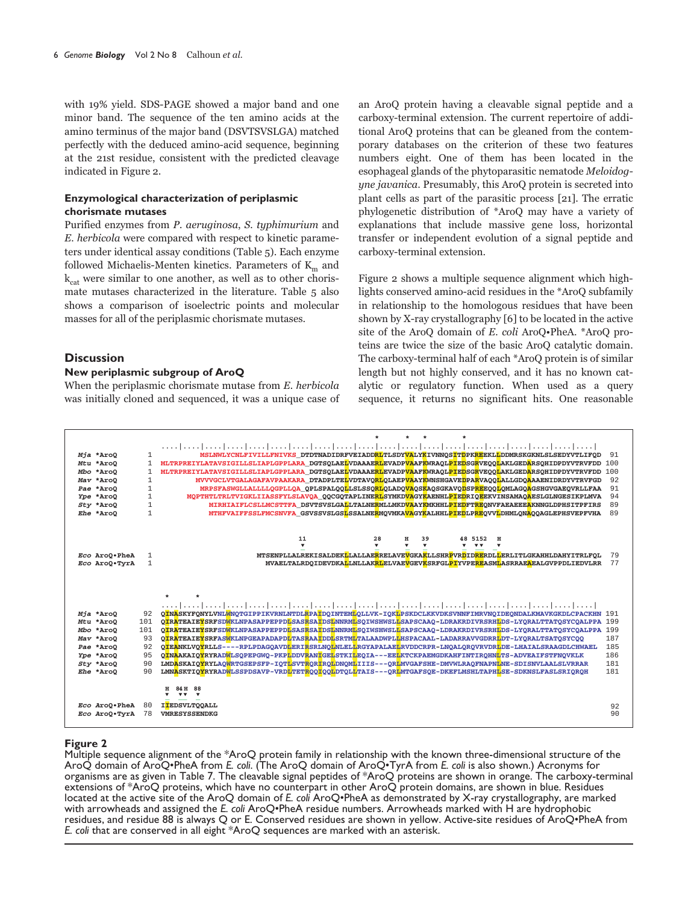with 19% yield. SDS-PAGE showed a major band and one minor band. The sequence of the ten amino acids at the amino terminus of the major band (DSVTSVSLGA) matched perfectly with the deduced amino-acid sequence, beginning at the 21st residue, consistent with the predicted cleavage indicated in Figure 2.

## Enzymological characterization of periplasmic chorismate mutases

Purified enzymes from P. aeruginosa, S. typhimurium and E, herbicola were compared with respect to kinetic parameters under identical assay conditions (Table 5). Each enzyme followed Michaelis-Menten kinetics. Parameters of  $K_m$  and  $k_{\text{cat}}$  were similar to one another, as well as to other chorismate mutases characterized in the literature. Table 5 also shows a comparison of isoelectric points and molecular masses for all of the periplasmic chorismate mutases.

## **Discussion**

## New periplasmic subgroup of AroQ

When the periplasmic chorismate mutase from E. herbicola was initially cloned and sequenced, it was a unique case of an AroQ protein having a cleavable signal peptide and a carboxy-terminal extension. The current repertoire of additional AroQ proteins that can be gleaned from the contemporary databases on the criterion of these two features numbers eight. One of them has been located in the esophageal glands of the phytoparasitic nematode Meloidogyne javanica. Presumably, this AroQ protein is secreted into plant cells as part of the parasitic process [21]. The erratic phylogenetic distribution of \*AroQ may have a variety of explanations that include massive gene loss, horizontal transfer or independent evolution of a signal peptide and carboxy-terminal extension.

Figure 2 shows a multiple sequence alignment which highlights conserved amino-acid residues in the \*AroQ subfamily in relationship to the homologous residues that have been shown by X-ray crystallography [6] to be located in the active site of the AroQ domain of E. coli AroQ.PheA. \*AroQ proteins are twice the size of the basic AroQ catalytic domain. The carboxy-terminal half of each \*AroQ protein is of similar length but not highly conserved, and it has no known catalytic or regulatory function. When used as a query sequence, it returns no significant hits. One reasonable



## **Figure 2**

Multiple sequence alignment of the \*AroQ protein family in relationship with the known three-dimensional structure of the AroQ domain of AroQ•PheA from E. coli. (The AroQ domain of AroQ•TyrA from E. coli is also shown.) Acronyms for organisms are as given in Table 7. The cleavable signal peptides of \*AroQ proteins are shown in orange. The carboxy-terminal extensions of \*AroQ proteins, which have no counterpart in other AroQ protein domains, are shown located at the active site of the AroQ domain of E. coli AroQ.PheA as demonstrated by X-ray crystallography, are marked with arrowheads and assigned the E. coli AroQ•PheA residue numbers. Arrowheads marked with H are hydrophobic residues, and residue 88 is always Q or E. Conserved residues are shown in yellow. Active-site residues of AroQ.PheA from E. coli that are conserved in all eight \*AroQ sequences are marked with an asterisk.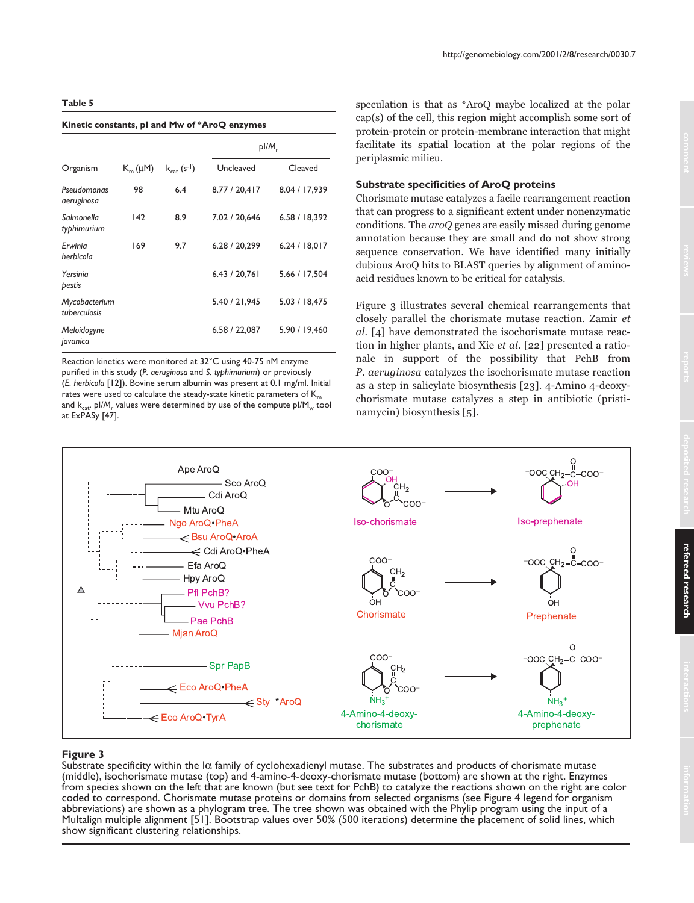#### **Kinetic constants, pI and Mw of \*AroQ enzymes**

|                               |              |                          | $p$ I/M <sub>r</sub> |               |
|-------------------------------|--------------|--------------------------|----------------------|---------------|
| Organism                      | $K_m(\mu M)$ | $k_{\text{cat}}(s^{-1})$ | Uncleaved            | Cleaved       |
| Pseudomonas<br>aeruginosa     | 98           | 6.4                      | 8.77 / 20,417        | 8.04 / 17.939 |
| Salmonella<br>typhimurium     | 142          | 8.9                      | 7.02 / 20.646        | 6.58 / 18.392 |
| Erwinia<br>herbicola          | 169          | 9.7                      | 6.28 / 20,299        | 6.24 / 18.017 |
| Yersinia<br>pestis            |              |                          | 6.43 / 20.761        | 5.66 / 17.504 |
| Mycobacterium<br>tuberculosis |              |                          | 5.40 / 21,945        | 5.03 / 18.475 |
| Meloidogyne<br>javanica       |              |                          | 6.58 / 22,087        | 5.90 / 19.460 |

Reaction kinetics were monitored at 32°C using 40-75 nM enzyme purified in this study (*P. aeruginosa* and *S. typhimurium*) or previously (*E. herbicola* [12]). Bovine serum albumin was present at 0.1 mg/ml. Initial rates were used to calculate the steady-state kinetic parameters of  $K_m$ and k<sub>cat</sub>. pl/M<sub>r</sub> values were determined by use of the compute pl/M<sub>w</sub> tool at ExPASy [47].

speculation is that as \*AroQ maybe localized at the polar cap(s) of the cell, this region might accomplish some sort of protein-protein or protein-membrane interaction that might facilitate its spatial location at the polar regions of the periplasmic milieu.

## **Substrate specificities of AroQ proteins**

Chorismate mutase catalyzes a facile rearrangement reaction that can progress to a significant extent under nonenzymatic conditions. The aroQ genes are easily missed during genome annotation because they are small and do not show strong sequence conservation. We have identified many initially dubious AroQ hits to BLAST queries by alignment of aminoacid residues known to be critical for catalysis.

Figure 3 illustrates several chemical rearrangements that closely parallel the chorismate mutase reaction. Zamir et al. [4] have demonstrated the isochorismate mutase reaction in higher plants, and Xie *et al*. [22] presented a rationale in support of the possibility that PchB from P. aeruginosa catalyzes the isochorismate mutase reaction as a step in salicylate biosynthesis [23]. 4-Amino 4-deoxychorismate mutase catalyzes a step in antibiotic (pristinamycin) biosynthesis [5].



## **Figure 3**

Substrate specificity within the  $I\alpha$  family of cyclohexadienyl mutase. The substrates and products of chorismate mutase (middle), isochorismate mutase (top) and 4-amino-4-deoxy-chorismate mutase (bottom) are shown at the right. Enzymes from species shown on the left that are known (but see text for PchB) to catalyze the reactions shown on the right are color coded to correspond. Chorismate mutase proteins or domains from selected organisms (see Figure 4 legend for organism abbreviations) are shown as a phylogram tree. The tree shown was obtained with the Phylip program using the input of a Multalign multiple alignment [51]. Bootstrap values over 50% (500 iterations) determine the placement of solid lines, which show significant clustering relationships.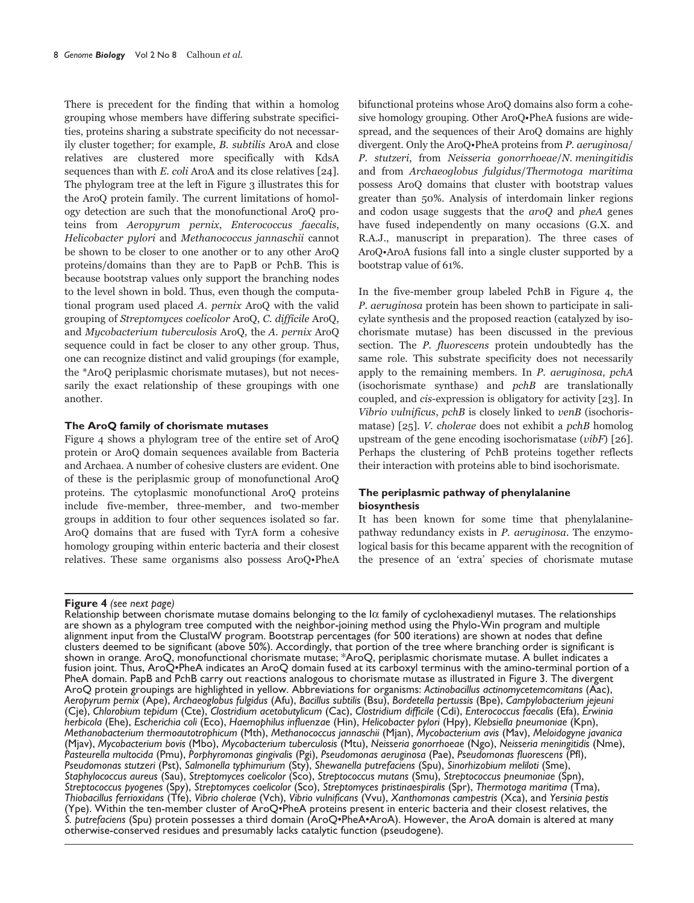There is precedent for the finding that within a homolog grouping whose members have differing substrate specificities, proteins sharing a substrate specificity do not necessarily cluster together; for example, B. subtilis AroA and close relatives are clustered more specifically with KdsA sequences than with  $E$ , coli AroA and its close relatives [24]. The phylogram tree at the left in Figure 3 illustrates this for the AroQ protein family. The current limitations of homology detection are such that the monofunctional AroQ proteins from Aeropyrum pernix, Enterococcus faecalis, Helicobacter pulori and Methanococcus jannaschii cannot be shown to be closer to one another or to any other AroO proteins/domains than they are to PapB or PchB. This is because bootstrap values only support the branching nodes to the level shown in bold. Thus, even though the computational program used placed A. pernix AroQ with the valid grouping of Streptomyces coelicolor AroQ, C. difficile AroQ, and Mycobacterium tuberculosis AroQ, the A. pernix AroQ sequence could in fact be closer to any other group. Thus, one can recognize distinct and valid groupings (for example, the \*AroQ periplasmic chorismate mutases), but not necessarily the exact relationship of these groupings with one another.

#### The AroQ family of chorismate mutases

Figure 4 shows a phylogram tree of the entire set of AroQ protein or AroQ domain sequences available from Bacteria and Archaea. A number of cohesive clusters are evident. One of these is the periplasmic group of monofunctional AroQ proteins. The cytoplasmic monofunctional AroQ proteins include five-member, three-member, and two-member groups in addition to four other sequences isolated so far. AroQ domains that are fused with TyrA form a cohesive homology grouping within enteric bacteria and their closest relatives. These same organisms also possess AroQ.PheA

Figure 4 (see next page)

bifunctional proteins whose AroQ domains also form a cohesive homology grouping. Other AroO.PheA fusions are widespread, and the sequences of their AroQ domains are highly divergent. Only the AroQ•PheA proteins from P. aeruginosa/ P. stutzeri, from Neisseria gonorrhoeae/N. meningitidis and from Archaeoglobus fulgidus/Thermotoga maritima possess AroQ domains that cluster with bootstrap values greater than 50%. Analysis of interdomain linker regions and codon usage suggests that the *aroO* and *pheA* genes have fused independently on many occasions (G.X. and R.A.J., manuscript in preparation). The three cases of AroO.AroA fusions fall into a single cluster supported by a bootstrap value of 61%.

In the five-member group labeled PchB in Figure 4, the P. aeruginosa protein has been shown to participate in salicylate synthesis and the proposed reaction (catalyzed by isochorismate mutase) has been discussed in the previous section. The *P. fluorescens* protein undoubtedly has the same role. This substrate specificity does not necessarily apply to the remaining members. In P. aeruginosa, pchA (isochorismate synthase) and *pchB* are translationally coupled, and cis-expression is obligatory for activity  $[23]$ . In Vibrio vulnificus, pchB is closely linked to venB (isochorismatase) [25]. *V. cholerae* does not exhibit a *pchB* homolog upstream of the gene encoding isochorismatase  $(vibF)$  [26]. Perhaps the clustering of PchB proteins together reflects their interaction with proteins able to bind isochorismate.

## The periplasmic pathway of phenylalanine **biosynthesis**

It has been known for some time that phenylalaninepathway redundancy exists in P. aeruginosa. The enzymological basis for this became apparent with the recognition of the presence of an 'extra' species of chorismate mutase

Relationship between chorismate mutase domains belonging to the  $\alpha$  family of cyclohexadienyl mutases. The relationships are shown as a phylogram tree computed with the neighbor-joining method using the Phylo-Win program alignment input from the ClustalW program. Bootstrap percentages (for 500 iterations) are shown at nodes that define clusters deemed to be significant (above 50%). Accordingly, that portion of the tree where branching order is significant is shown in orange. AroQ, monofunctional chorismate mutase; \*AroQ, periplasmic chorismate mutase. A bullet indicates a fusion joint. Thus, AroQ•PheA indicates an AroQ domain fused at its carboxyl terminus with the amino-terminal portion of a PheA domain. PapB and PchB carry out reactions analogous to chorismate mutase as illustrated in Figure 3. The divergent AroQ protein groupings are highlighted in yellow. Abbreviations for organisms: Actinobacillus actinomycetemcomitans (Aac), Aeropyrum pernix (Ape), Archaeoglobus fulgidus (Afu), Bacillus subtilis (Bsu), Bordetella pertussis (Bpe), Campylobacterium jejeuni (Cje), Chlorobium tepidum (Cte), Clostridium acetobutylicum (Cac), Clostridium difficile (Cdi), Enterococcus faecalis (Efa), Erwinia herbicola (Ehe), Escherichia coli (Eco), Haemophilus influenzae (Hin), Helicobacter pylori (Hpy), Klebsiella pneumoniae (Kpn),<br>Methanobacterium thermoautotrophicum (Mth), Methanococcus jannaschii (Mjan), Mycobacterium avis (Mjav), Mycobacterium bovis (Mbo), Mycobacterium tuberculosis (Mtu), Neisseria gonorrhoeae (Ngo), Neisseria meningitidis (Nme), Pasteurella multocida (Pmu), Porphyromonas gingivalis (Pgi), Pseudomonas aeruginosa (Pae), Pseudomonas fluorescens (Pfl), Pseudomonas stutzeri (Pst), Salmonella typhimurium (Sty), Shewanella putrefaciens (Spu), Sinorhizobi Streptococcus pyogenes (Spy), Streptomyces coelicolor (Sco), Streptomyces pristinaespiralis (Spr), Thermotoga maritima (Tma), Thiobacillus ferrioxidans (Tfe), Vibrio cholerae (Vch), Vibrio vulnificans (Vvu), Xanthomonas ca (Ype). Within the ten-member cluster of AroQ•PheA proteins present in enteric bacteria and their closest relatives, the S. putrefaciens (Spu) protein possesses a third domain (AroQ·PheA·AroA). However, the AroA domain is altered at many otherwise-conserved residues and presumably lacks catalytic function (pseudogene).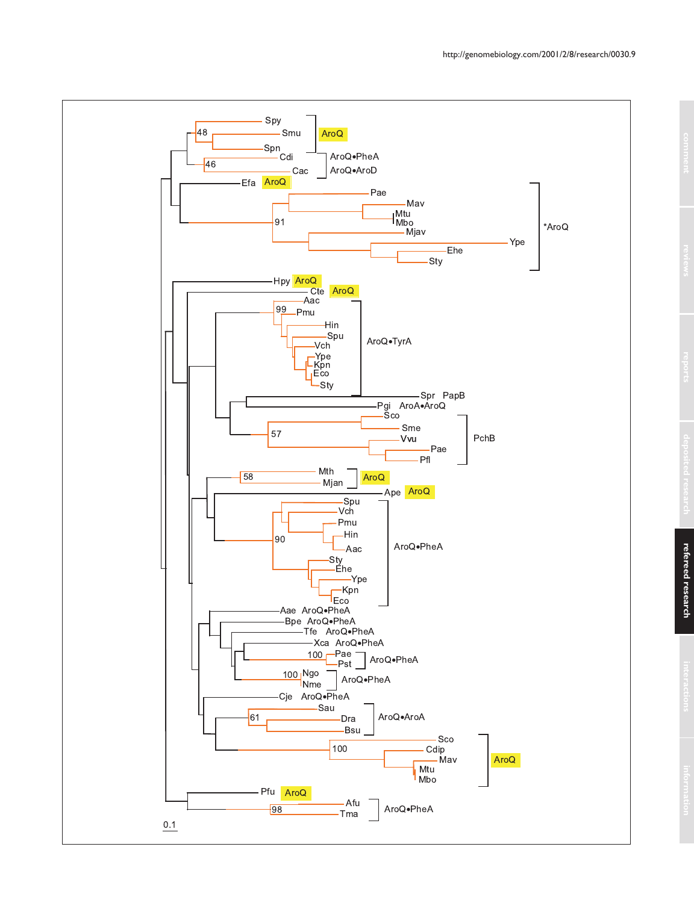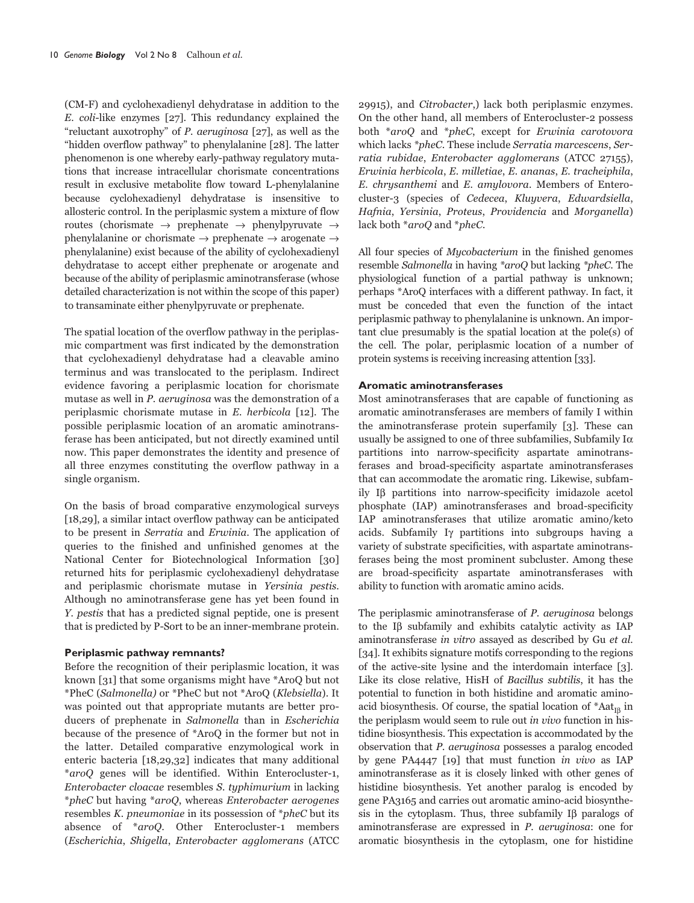(CM-F) and cyclohexadienyl dehydratase in addition to the  $E.$  coli-like enzymes [27]. This redundancy explained the "reluctant auxotrophy" of *P. aeruginosa* [27], as well as the "hidden overflow pathway" to phenylalanine [28]. The latter phenomenon is one whereby early-pathway regulatory mutations that increase intracellular chorismate concentrations result in exclusive metabolite flow toward L-phenylalanine because cyclohexadienyl dehydratase is insensitive to allosteric control. In the periplasmic system a mixture of flow routes (chorismate  $\rightarrow$  prephenate  $\rightarrow$  phenylpyruvate  $\rightarrow$ phenylalanine or chorismate  $\rightarrow$  prephenate  $\rightarrow$  arogenate  $\rightarrow$ phenylalanine) exist because of the ability of cyclohexadienyl dehydratase to accept either prephenate or arogenate and because of the ability of periplasmic aminotransferase (whose detailed characterization is not within the scope of this paper) to transaminate either phenylpyruvate or prephenate.

The spatial location of the overflow pathway in the periplasmic compartment was first indicated by the demonstration that cyclohexadienyl dehydratase had a cleavable amino terminus and was translocated to the periplasm. Indirect evidence favoring a periplasmic location for chorismate mutase as well in P. aeruginosa was the demonstration of a periplasmic chorismate mutase in E. herbicola [12]. The possible periplasmic location of an aromatic aminotransferase has been anticipated, but not directly examined until now. This paper demonstrates the identity and presence of all three enzymes constituting the overflow pathway in a single organism.

On the basis of broad comparative enzymological surveys [18,29], a similar intact overflow pathway can be anticipated to be present in Serratia and Erwinia. The application of queries to the finished and unfinished genomes at the National Center for Biotechnological Information [30] returned hits for periplasmic cyclohexadienyl dehydratase and periplasmic chorismate mutase in Yersinia pestis. Although no aminotransferase gene has yet been found in Y. pestis that has a predicted signal peptide, one is present that is predicted by P-Sort to be an inner-membrane protein.

## Periplasmic pathway remnants?

Before the recognition of their periplasmic location, it was known [31] that some organisms might have \*AroQ but not \*PheC (Salmonella) or \*PheC but not \*AroQ (Klebsiella). It was pointed out that appropriate mutants are better producers of prephenate in Salmonella than in Escherichia because of the presence of \*AroQ in the former but not in the latter. Detailed comparative enzymological work in enteric bacteria [18,29,32] indicates that many additional *\*aroQ* genes will be identified. Within Enterocluster-1, Enterobacter cloacae resembles S. typhimurium in lacking \*pheC but having \*aroQ, whereas Enterobacter aerogenes resembles K. pneumoniae in its possession of \*pheC but its absence of \*aroQ. Other Enterocluster-1 members (Escherichia, Shigella, Enterobacter agglomerans (ATCC 29915), and *Citrobacter*, lack both periplasmic enzymes. On the other hand, all members of Enterocluster-2 possess both \*aroQ and \*pheC, except for Erwinia carotovora which lacks \*pheC. These include Serratia marcescens, Serratia rubidae, Enterobacter agglomerans (ATCC 27155), Erwinia herbicola, E. milletiae, E. ananas, E. tracheiphila, E. chrysanthemi and E. amylovora. Members of Enterocluster-3 (species of Cedecea, Kluyvera, Edwardsiella, Hafnia, Yersinia, Proteus, Providencia and Morganella) lack both \*aroQ and \*pheC.

All four species of *Mycobacterium* in the finished genomes resemble Salmonella in having \*aroQ but lacking \*pheC. The physiological function of a partial pathway is unknown; perhaps \*AroQ interfaces with a different pathway. In fact, it must be conceded that even the function of the intact periplasmic pathway to phenylalanine is unknown. An important clue presumably is the spatial location at the pole(s) of the cell. The polar, periplasmic location of a number of protein systems is receiving increasing attention [33].

#### Aromatic aminotransferases

Most aminotransferases that are capable of functioning as aromatic aminotransferases are members of family I within the aminotransferase protein superfamily [3]. These can usually be assigned to one of three subfamilies, Subfamily  $I\alpha$ partitions into narrow-specificity aspartate aminotransferases and broad-specificity aspartate aminotransferases that can accommodate the aromatic ring. Likewise, subfamily Iß partitions into narrow-specificity imidazole acetol phosphate (IAP) aminotransferases and broad-specificity IAP aminotransferases that utilize aromatic amino/keto acids. Subfamily Iy partitions into subgroups having a variety of substrate specificities, with aspartate aminotransferases being the most prominent subcluster. Among these are broad-specificity aspartate aminotransferases with ability to function with aromatic amino acids.

The periplasmic aminotransferase of *P. aeruginosa* belongs to the IB subfamily and exhibits catalytic activity as IAP aminotransferase in vitro assayed as described by Gu et al. [34]. It exhibits signature motifs corresponding to the regions of the active-site lysine and the interdomain interface [3]. Like its close relative, HisH of Bacillus subtilis, it has the potential to function in both histidine and aromatic aminoacid biosynthesis. Of course, the spatial location of  $A_{\text{Aat}}$  in the periplasm would seem to rule out in vivo function in histidine biosynthesis. This expectation is accommodated by the observation that *P. geruginosa* possesses a paralog encoded by gene PA4447 [19] that must function in vivo as IAP aminotransferase as it is closely linked with other genes of histidine biosynthesis. Yet another paralog is encoded by gene PA3165 and carries out aromatic amino-acid biosynthesis in the cytoplasm. Thus, three subfamily  $I\beta$  paralogs of aminotransferase are expressed in  $P$ . aeruginosa: one for aromatic biosynthesis in the cytoplasm, one for histidine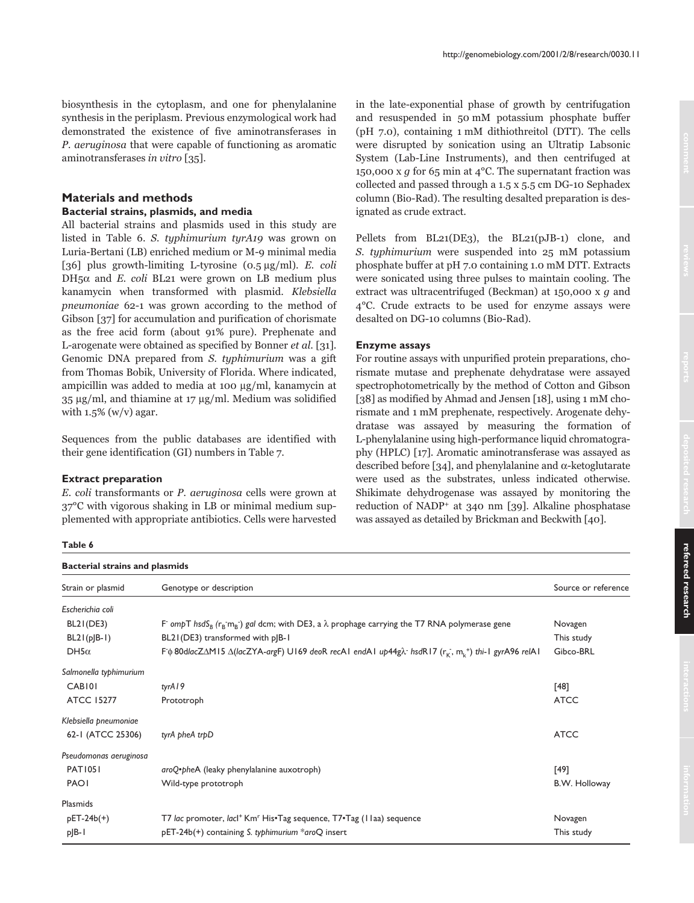biosynthesis in the cytoplasm, and one for phenylalanine svnthesis in the periplasm. Previous enzymological work had demonstrated the existence of five aminotransferases in P. aeruginosa that were capable of functioning as aromatic aminotransferases in vitro [35].

## **Materials and methods**

## Bacterial strains, plasmids, and media

All bacterial strains and plasmids used in this study are listed in Table 6. S. typhimurium tyrA19 was grown on Luria-Bertani (LB) enriched medium or M-9 minimal media [36] plus growth-limiting L-tyrosine  $(0.5 \mu g/ml)$ . E. coli DH<sub>5</sub> $\alpha$  and *E*. coli BL21 were grown on LB medium plus kanamycin when transformed with plasmid. Klebsiella pneumoniae 62-1 was grown according to the method of Gibson [37] for accumulation and purification of chorismate as the free acid form (about 91% pure). Prephenate and L-arogenate were obtained as specified by Bonner *et al.* [31]. Genomic DNA prepared from S. typhimurium was a gift from Thomas Bobik, University of Florida. Where indicated, ampicillin was added to media at 100 µg/ml, kanamycin at 35 µg/ml, and thiamine at 17 µg/ml. Medium was solidified with  $1.5\%$  (w/v) agar.

Sequences from the public databases are identified with their gene identification (GI) numbers in Table 7.

#### **Extract preparation**

E. coli transformants or P. aeruginosa cells were grown at  $37^{\circ}$ C with vigorous shaking in LB or minimal medium supplemented with appropriate antibiotics. Cells were harvested in the late-exponential phase of growth by centrifugation and resuspended in 50 mM potassium phosphate buffer (pH 7.0), containing 1 mM dithiothreitol (DTT). The cells were disrupted by sonication using an Ultratip Labsonic System (Lab-Line Instruments), and then centrifuged at 150,000 x q for 65 min at 4 °C. The supernatant fraction was collected and passed through a 1.5 x 5.5 cm DG-10 Sephadex column (Bio-Rad). The resulting desalted preparation is designated as crude extract.

Pellets from BL21(DE3), the BL21(pJB-1) clone, and S. typhimurium were suspended into 25 mM potassium phosphate buffer at pH 7.0 containing 1.0 mM DTT. Extracts were sonicated using three pulses to maintain cooling. The extract was ultracentrifuged (Beckman) at 150,000 x g and 4°C. Crude extracts to be used for enzyme assays were desalted on DG-10 columns (Bio-Rad).

## **Enzyme assays**

For routine assays with unpurified protein preparations, chorismate mutase and prephenate dehydratase were assayed spectrophotometrically by the method of Cotton and Gibson [38] as modified by Ahmad and Jensen [18], using 1 mM chorismate and 1 mM prephenate, respectively. Arogenate dehydratase was assayed by measuring the formation of L-phenylalanine using high-performance liquid chromatography (HPLC) [17]. Aromatic aminotransferase was assayed as described before [34], and phenylalanine and α-ketoglutarate were used as the substrates, unless indicated otherwise. Shikimate dehydrogenase was assayed by monitoring the reduction of NADP<sup>+</sup> at 340 nm [39]. Alkaline phosphatase was assayed as detailed by Brickman and Beckwith [40].

## Table 6

| <b>Bacterial strains and plasmids</b> |                                                                                                                                                                |                     |  |
|---------------------------------------|----------------------------------------------------------------------------------------------------------------------------------------------------------------|---------------------|--|
| Strain or plasmid                     | Genotype or description                                                                                                                                        | Source or reference |  |
| Escherichia coli                      |                                                                                                                                                                |                     |  |
| BL2I (DE3)                            | F ompT hsdS <sub>B</sub> ( $r_B$ m <sub>B</sub> -) gal dcm; with DE3, a $\lambda$ prophage carrying the T7 RNA polymerase gene                                 | Novagen             |  |
| $BL21(p B-1)$                         | BL21(DE3) transformed with p B-1                                                                                                                               | This study          |  |
| DH5 $\alpha$                          | F $\phi$ 80dlacZ $\Delta$ M15 $\Delta$ (lacZYA-argF) U169 deoR recA1 endA1 up44g $\lambda$ hsdR17 ( $r_{K}$ , m <sub>v</sub> <sup>+</sup> ) thi-1 gyrA96 relA1 | Gibco-BRL           |  |
| Salmonella typhimurium                |                                                                                                                                                                |                     |  |
| CAB <sub>101</sub>                    | tyrA19                                                                                                                                                         | [48]                |  |
| <b>ATCC 15277</b>                     | Prototroph                                                                                                                                                     | <b>ATCC</b>         |  |
| Klebsiella pneumoniae                 |                                                                                                                                                                |                     |  |
| 62-1 (ATCC 25306)                     | tyrA pheA trpD                                                                                                                                                 | <b>ATCC</b>         |  |
| Pseudomonas aeruginosa                |                                                                                                                                                                |                     |  |
| <b>PAT1051</b>                        | aroQ·pheA (leaky phenylalanine auxotroph)                                                                                                                      | [49]                |  |
| <b>PAOI</b>                           | Wild-type prototroph                                                                                                                                           | B.W. Holloway       |  |
| Plasmids                              |                                                                                                                                                                |                     |  |
| $pET-24b(+)$                          | T7 lac promoter, lacl <sup>+</sup> Km <sup>r</sup> His•Tag sequence, T7•Tag (11aa) sequence                                                                    | Novagen             |  |
| $p$ $B-1$                             | pET-24b(+) containing S. typhimurium *aroQ insert                                                                                                              | This study          |  |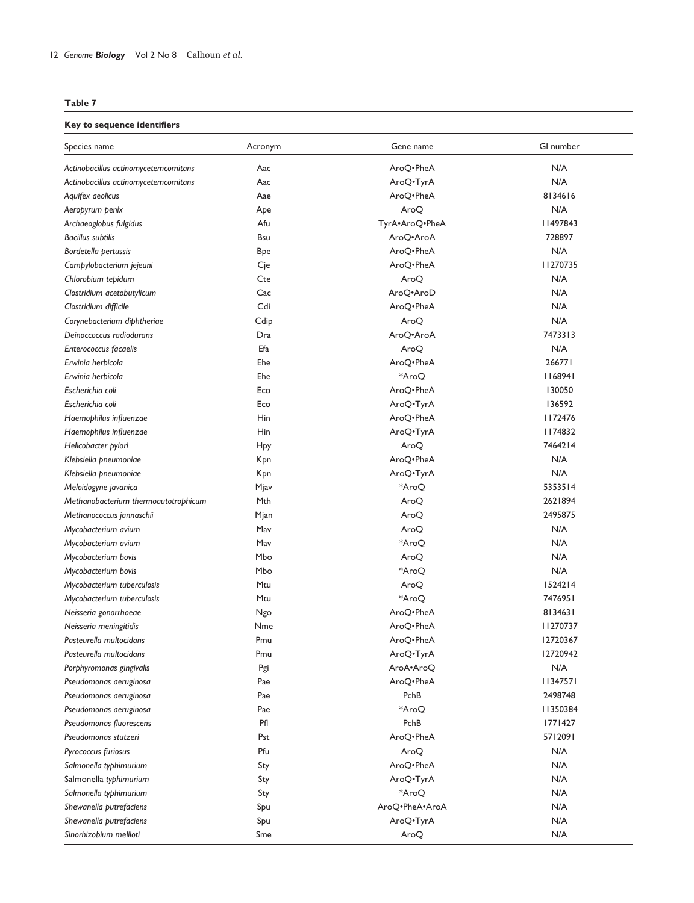## **Key to sequence identifiers**

| Species name                         | Acronym    | Gene name      | GI number |
|--------------------------------------|------------|----------------|-----------|
| Actinobacillus actinomycetemcomitans | Aac        | AroQ.PheA      | N/A       |
| Actinobacillus actinomycetemcomitans | Aac        | AroQ.TyrA      | N/A       |
| Aquifex aeolicus                     | Aae        | AroQ.PheA      | 8134616   |
| Aeropyrum penix                      | Ape        | AroQ           | N/A       |
| Archaeoglobus fulgidus               | Afu        | TyrA.AroQ.PheA | II497843  |
| <b>Bacillus subtilis</b>             | Bsu        | AroQ.AroA      | 728897    |
| Bordetella pertussis                 | <b>Bpe</b> | AroQ.PheA      | N/A       |
| Campylobacterium jejeuni             | Cje        | AroQ.PheA      | 11270735  |
| Chlorobium tepidum                   | Cte        | AroQ           | N/A       |
| Clostridium acetobutylicum           | Cac        | AroQ.AroD      | N/A       |
| Clostridium difficile                | Cdi        | AroQ.PheA      | N/A       |
| Corynebacterium diphtheriae          | Cdip       | AroQ           | N/A       |
| Deinoccoccus radiodurans             | Dra        | AroQ.AroA      | 7473313   |
| Enterococcus facaelis                | Efa        | AroQ           | N/A       |
| Erwinia herbicola                    | Ehe        | AroQ.PheA      | 266771    |
| Erwinia herbicola                    | Ehe        | *AroQ          | 1168941   |
| Escherichia coli                     | Eco        | AroQ.PheA      | 130050    |
| Escherichia coli                     | Eco        | AroQ.TyrA      | 136592    |
| Haemophilus influenzae               | Hin        | AroQ.PheA      | 1172476   |
| Haemophilus influenzae               | Hin        | AroQ.TyrA      | 1174832   |
| Helicobacter pylori                  | Hpy        | AroQ           | 7464214   |
| Klebsiella pneumoniae                | Kpn        | AroQ.PheA      | N/A       |
| Klebsiella pneumoniae                | Kpn        | AroQ.TyrA      | N/A       |
| Meloidogyne javanica                 | Mjav       | *AroQ          | 5353514   |
| Methanobacterium thermoautotrophicum | Mth        | AroQ           | 2621894   |
| Methanococcus jannaschii             | Mjan       | AroQ           | 2495875   |
| Mycobacterium avium                  | Mav        | AroQ           | N/A       |
| Mycobacterium avium                  | Mav        | *AroQ          | N/A       |
| Mycobacterium bovis                  | Mbo        | AroQ           | N/A       |
| Mycobacterium bovis                  | Mbo        | *AroQ          | N/A       |
| Mycobacterium tuberculosis           | Mtu        | AroQ           | 1524214   |
| Mycobacterium tuberculosis           | Mtu        | *AroO          | 7476951   |
| Neisseria gonorrhoeae                | Ngo        | AroQ.PheA      | 8134631   |
| Neisseria meningitidis               | Nme        | AroQ.PheA      | 11270737  |
| Pasteurella multocidans              | Pmu        | AroQ.PheA      | 12720367  |
| Pasteurella multocidans              | Pmu        | AroQ.TyrA      | 12720942  |
| Porphyromonas gingivalis             | Pgi        | AroA.AroQ      | N/A       |
| Pseudomonas aeruginosa               | Pae        | AroQ.PheA      | 11347571  |
| Pseudomonas aeruginosa               | Pae        | PchB           | 2498748   |
| Pseudomonas aeruginosa               | Pae        | *AroQ          | 11350384  |
| Pseudomonas fluorescens              | Pfl        | PchB           | 1771427   |
| Pseudomonas stutzeri                 | Pst        | AroQ.PheA      | 5712091   |
| Pyrococcus furiosus                  | Pfu        | AroQ           | N/A       |
|                                      |            |                | N/A       |
| Salmonella typhimurium               | Sty        | AroQ.PheA      | N/A       |
| Salmonella typhimurium               | Sty        | AroQ.TyrA      | N/A       |
| Salmonella typhimurium               | Sty        | *AroQ          |           |
| Shewanella putrefaciens              | Spu        | AroQ.PheA.AroA | N/A       |
| Shewanella putrefaciens              | Spu        | AroQ.TyrA      | N/A       |
| Sinorhizobium meliloti               | Sme        | AroQ           | N/A       |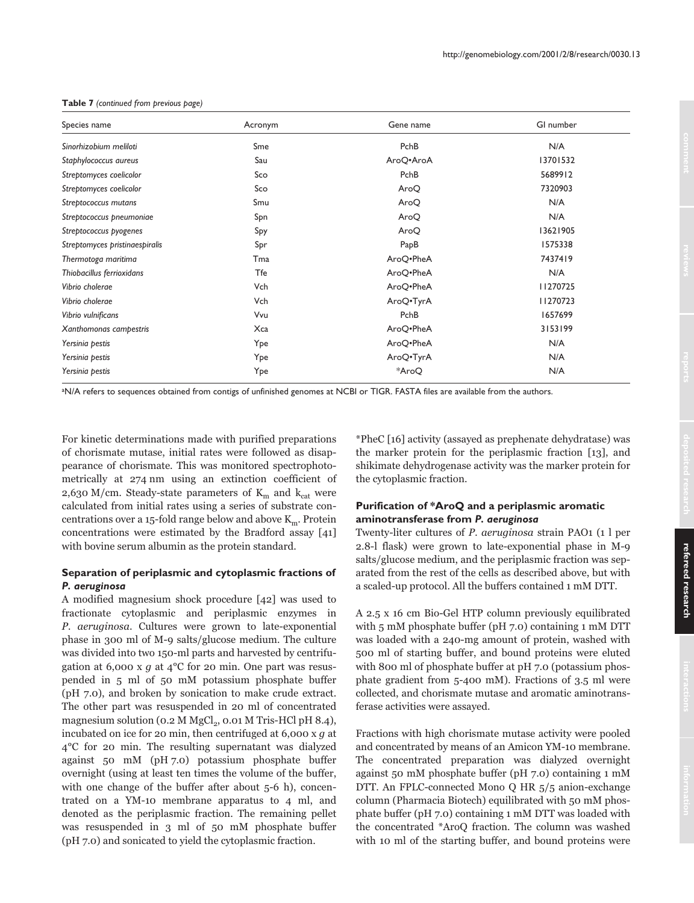| Species name                   | Acronym | Gene name | GI number |
|--------------------------------|---------|-----------|-----------|
| Sinorhizobium meliloti         | Sme     | PchB      | N/A       |
| Staphylococcus aureus          | Sau     | AroQ.AroA | 13701532  |
| Streptomyces coelicolor        | Sco     | PchB      | 5689912   |
| Streptomyces coelicolor        | Sco     | AroQ      | 7320903   |
| Streptococcus mutans           | Smu     | AroQ      | N/A       |
| Streptococcus pneumoniae       | Spn     | AroQ      | N/A       |
| Streptococcus pyogenes         | Spy     | AroQ      | 13621905  |
| Streptomyces pristinaespiralis | Spr     | PapB      | 1575338   |
| Thermotoga maritima            | Tma     | AroQ.PheA | 7437419   |
| Thiobacillus ferrioxidans      | Tfe     | AroQ.PheA | N/A       |
| Vibrio cholerae                | Vch     | AroQ.PheA | 11270725  |
| Vibrio cholerae                | Vch     | AroQ.TyrA | 11270723  |
| Vibrio vulnificans             | Vvu     | PchB      | 1657699   |
| Xanthomonas campestris         | Xca     | AroQ.PheA | 3153199   |
| Yersinia pestis                | Ype     | AroQ.PheA | N/A       |
| Yersinia pestis                | Ype     | AroQ.TyrA | N/A       |
| Yersinia pestis                | Ype     | *AroQ     | N/A       |

#### **Table 7** *(continued from previous page)*

aN/A refers to sequences obtained from contigs of unfinished genomes at NCBI or TIGR. FASTA files are available from the authors.

For kinetic determinations made with purified preparations of chorismate mutase, initial rates were followed as disappearance of chorismate. This was monitored spectrophotometrically at 274 nm using an extinction coefficient of 2,630 M/cm. Steady-state parameters of  $K_m$  and  $k_{cat}$  were calculated from initial rates using a series of substrate concentrations over a 15-fold range below and above  $\text{K}_{\text{m}}$ . Protein concentrations were estimated by the Bradford assay [41] with bovine serum albumin as the protein standard.

# **Separation of periplasmic and cytoplasmic fractions of** *P. aeruginosa*

A modified magnesium shock procedure [42] was used to fractionate cytoplasmic and periplasmic enzymes in P. aeruginosa. Cultures were grown to late-exponential phase in 300 ml of M-9 salts/glucose medium. The culture was divided into two 150-ml parts and harvested by centrifugation at 6,000 x  $g$  at 4°C for 20 min. One part was resuspended in 5 ml of 50 mM potassium phosphate buffer (pH 7.0), and broken by sonication to make crude extract. The other part was resuspended in 20 ml of concentrated magnesium solution (0.2 M  $\mathrm{MgCl}_2$ , 0.01 M Tris-HCl pH 8.4), incubated on ice for 20 min, then centrifuged at 6,000 x  $g$  at  $4^{\circ}$ C for 20 min. The resulting supernatant was dialyzed against 50 mM (pH 7.0) potassium phosphate buffer overnight (using at least ten times the volume of the buffer, with one change of the buffer after about 5-6 h), concentrated on a YM-10 membrane apparatus to 4 ml, and denoted as the periplasmic fraction. The remaining pellet was resuspended in 3 ml of 50 mM phosphate buffer (pH 7.0) and sonicated to yield the cytoplasmic fraction.

\*PheC [16] activity (assayed as prephenate dehydratase) was the marker protein for the periplasmic fraction [13], and shikimate dehydrogenase activity was the marker protein for the cytoplasmic fraction.

## **Purification of \*AroQ and a periplasmic aromatic aminotransferase from** *P. aeruginosa*

Twenty-liter cultures of P. aeruginosa strain PAO1 (1 l per 2.8-1 flask) were grown to late-exponential phase in M-9 salts/glucose medium, and the periplasmic fraction was separated from the rest of the cells as described above, but with a scaled-up protocol. All the buffers contained 1 mM DTT.

A 2.5 x 16 cm Bio-Gel HTP column previously equilibrated with 5 mM phosphate buffer (pH 7.0) containing 1 mM DTT was loaded with a 240-mg amount of protein, washed with 500 ml of starting buffer, and bound proteins were eluted with 800 ml of phosphate buffer at pH 7.0 (potassium phosphate gradient from 5-400 mM). Fractions of 3.5 ml were collected, and chorismate mutase and aromatic aminotransferase activities were assayed.

Fractions with high chorismate mutase activity were pooled and concentrated by means of an Amicon YM-10 membrane. The concentrated preparation was dialyzed overnight against 50 mM phosphate buffer (pH 7.0) containing 1 mM DTT. An FPLC-connected Mono Q HR 5/5 anion-exchange column (Pharmacia Biotech) equilibrated with 50 mM phosphate buffer (pH 7.0) containing 1 mM DTT was loaded with the concentrated \*AroQ fraction. The column was washed with 10 ml of the starting buffer, and bound proteins were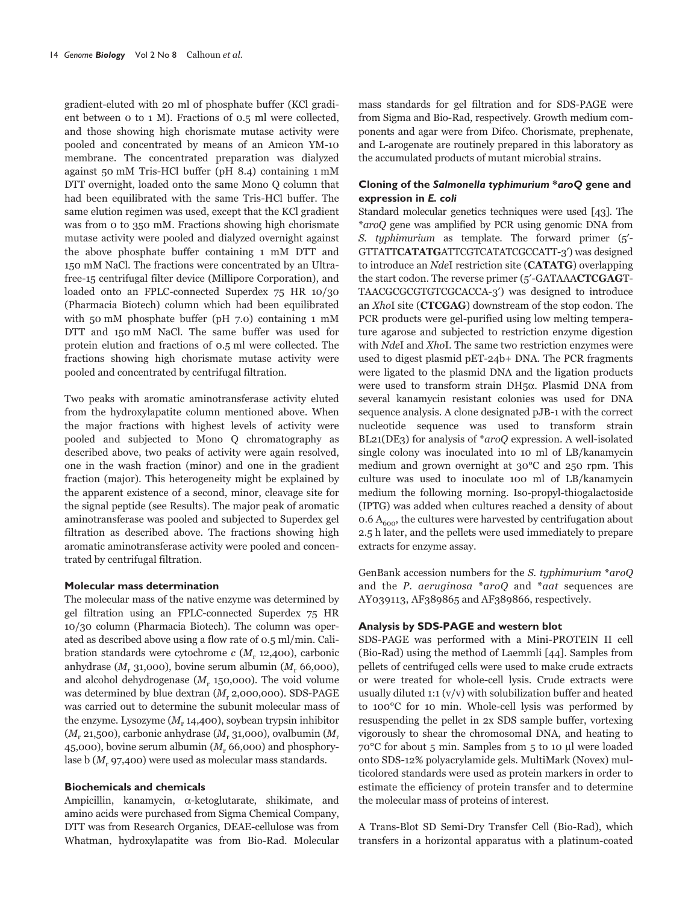gradient-eluted with 20 ml of phosphate buffer (KCl gradient between 0 to 1 M). Fractions of 0.5 ml were collected. and those showing high chorismate mutase activity were pooled and concentrated by means of an Amicon YM-10 membrane. The concentrated preparation was dialyzed against 50 mM Tris-HCl buffer (pH 8.4) containing 1 mM DTT overnight, loaded onto the same Mono Q column that had been equilibrated with the same Tris-HCl buffer. The same elution regimen was used, except that the KCl gradient was from 0 to 350 mM. Fractions showing high chorismate mutase activity were pooled and dialyzed overnight against the above phosphate buffer containing 1 mM DTT and 150 mM NaCl. The fractions were concentrated by an Ultrafree-15 centrifugal filter device (Millipore Corporation), and loaded onto an FPLC-connected Superdex 75 HR 10/30 (Pharmacia Biotech) column which had been equilibrated with 50 mM phosphate buffer (pH  $7.0$ ) containing 1 mM DTT and 150 mM NaCl. The same buffer was used for protein elution and fractions of 0.5 ml were collected. The fractions showing high chorismate mutase activity were pooled and concentrated by centrifugal filtration.

Two peaks with aromatic aminotransferase activity eluted from the hydroxylapatite column mentioned above. When the major fractions with highest levels of activity were pooled and subjected to Mono Q chromatography as described above, two peaks of activity were again resolved, one in the wash fraction (minor) and one in the gradient fraction (major). This heterogeneity might be explained by the apparent existence of a second, minor, cleavage site for the signal peptide (see Results). The major peak of aromatic aminotransferase was pooled and subjected to Superdex gel filtration as described above. The fractions showing high aromatic aminotransferase activity were pooled and concentrated by centrifugal filtration.

#### **Molecular mass determination**

The molecular mass of the native enzyme was determined by gel filtration using an FPLC-connected Superdex 75 HR 10/30 column (Pharmacia Biotech). The column was operated as described above using a flow rate of 0.5 ml/min. Calibration standards were cytochrome  $c$  ( $M_r$ , 12,400), carbonic anhydrase ( $M_r$ , 31,000), bovine serum albumin ( $M_r$ , 66,000), and alcohol dehydrogenase  $(M_r 150,000)$ . The void volume was determined by blue dextran  $(M_r 2,000,000)$ . SDS-PAGE was carried out to determine the subunit molecular mass of the enzyme. Lysozyme  $(M, 14,400)$ , soybean trypsin inhibitor  $(M, 21,500)$ , carbonic anhydrase  $(M, 31,000)$ , ovalbumin  $(M, 21,500)$ 45,000), bovine serum albumin  $(M_r 66,000)$  and phosphorylase b  $(M, 97,400)$  were used as molecular mass standards.

## **Biochemicals and chemicals**

Ampicillin, kanamycin, α-ketoglutarate, shikimate, and amino acids were purchased from Sigma Chemical Company, DTT was from Research Organics, DEAE-cellulose was from Whatman, hydroxylapatite was from Bio-Rad. Molecular

mass standards for gel filtration and for SDS-PAGE were from Sigma and Bio-Rad, respectively. Growth medium components and agar were from Difco. Chorismate, prephenate, and L-arogenate are routinely prepared in this laboratory as the accumulated products of mutant microbial strains.

## Cloning of the Salmonella typhimurium \*aroQ gene and expression in E. coli

Standard molecular genetics techniques were used [43]. The *\*aroQ* gene was amplified by PCR using genomic DNA from S. typhimurium as template. The forward primer  $(5')$ -GTTATTCATATGATTCGTCATATCGCCATT-3') was designed to introduce an *NdeI* restriction site (**CATATG**) overlapping the start codon. The reverse primer (5'-GATAAACTCGAGT-TAACGCGCGTGTCGCACCA-3') was designed to introduce an XhoI site (CTCGAG) downstream of the stop codon. The PCR products were gel-purified using low melting temperature agarose and subjected to restriction enzyme digestion with NdeI and XhoI. The same two restriction enzymes were used to digest plasmid pET-24b+ DNA. The PCR fragments were ligated to the plasmid DNA and the ligation products were used to transform strain  $DH5\alpha$ . Plasmid DNA from several kanamycin resistant colonies was used for DNA sequence analysis. A clone designated pJB-1 with the correct nucleotide sequence was used to transform strain BL21(DE3) for analysis of  $*aroQ$  expression. A well-isolated single colony was inoculated into 10 ml of LB/kanamycin medium and grown overnight at 30<sup>o</sup>C and 250 rpm. This culture was used to inoculate 100 ml of LB/kanamycin medium the following morning. Iso-propyl-thiogalactoside (IPTG) was added when cultures reached a density of about  $0.6$  A<sub>600</sub>, the cultures were harvested by centrifugation about 2.5 h later, and the pellets were used immediately to prepare extracts for enzyme assay.

GenBank accession numbers for the S. typhimurium  $*$ aroQ and the P. aeruginosa  $*aroQ$  and  $*aat$  sequences are AY039113, AF389865 and AF389866, respectively.

#### Analysis by SDS-PAGE and western blot

SDS-PAGE was performed with a Mini-PROTEIN II cell (Bio-Rad) using the method of Laemmli [44]. Samples from pellets of centrifuged cells were used to make crude extracts or were treated for whole-cell lysis. Crude extracts were usually diluted  $1:1 (v/v)$  with solubilization buffer and heated to 100°C for 10 min. Whole-cell lysis was performed by resuspending the pellet in 2x SDS sample buffer, vortexing vigorously to shear the chromosomal DNA, and heating to 70°C for about 5 min. Samples from 5 to 10 µ were loaded onto SDS-12% polyacrylamide gels. MultiMark (Novex) multicolored standards were used as protein markers in order to estimate the efficiency of protein transfer and to determine the molecular mass of proteins of interest.

A Trans-Blot SD Semi-Dry Transfer Cell (Bio-Rad), which transfers in a horizontal apparatus with a platinum-coated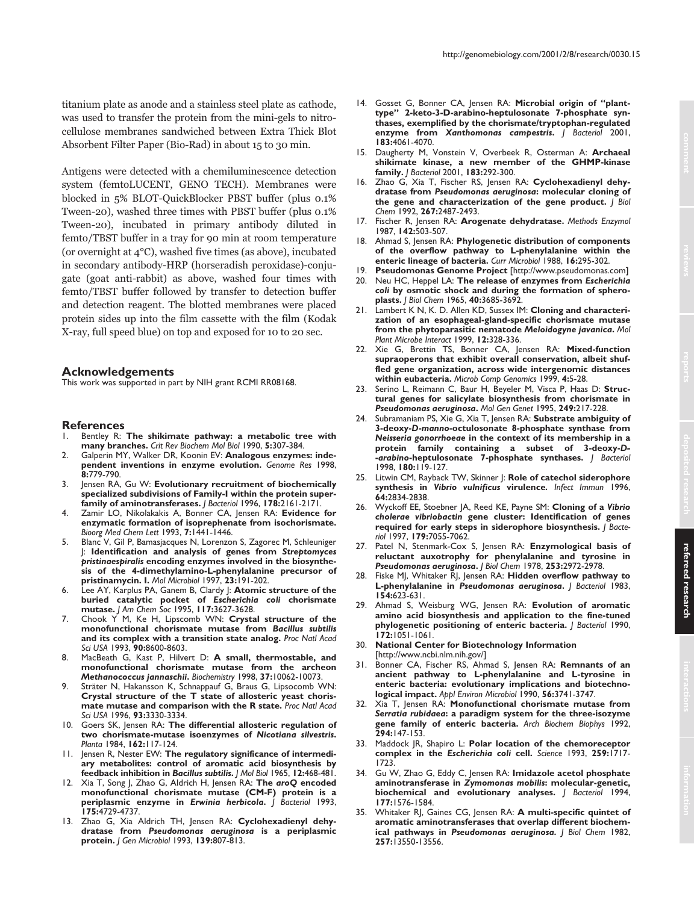titanium plate as anode and a stainless steel plate as cathode, was used to transfer the protein from the mini-gels to nitrocellulose membranes sandwiched between Extra Thick Blot Absorbent Filter Paper (Bio-Rad) in about 15 to 30 min.

Antigens were detected with a chemiluminescence detection system (femtoLUCENT, GENO TECH). Membranes were blocked in 5% BLOT-QuickBlocker PBST buffer (plus 0.1%) Tween-20), washed three times with PBST buffer (plus 0.1% Tween-20), incubated in primary antibody diluted in femto/TBST buffer in a tray for 90 min at room temperature (or overnight at  $4^{\circ}$ C), washed five times (as above), incubated in secondary antibody-HRP (horseradish peroxidase)-conjugate (goat anti-rabbit) as above, washed four times with femto/TBST buffer followed by transfer to detection buffer and detection reagent. The blotted membranes were placed protein sides up into the film cassette with the film (Kodak X-ray, full speed blue) on top and exposed for 10 to 20 sec.

#### **Acknowledgements**

This work was supported in part by NIH grant RCMI RR08168.

#### **References**

- 1. Bentley R: **The shikimate pathway: a metabolic tree with many branches.** *Crit Rev Biochem Mol Biol* 1990, **5:**307-384.
- 2. Galperin MY, Walker DR, Koonin EV: **Analogous enzymes: independent inventions in enzyme evolution.** *Genome Res* 1998, **8:**779-790.
- 3. Jensen RA, Gu W: **Evolutionary recruitment of biochemically specialized subdivisions of Family-I within the protein superfamily of aminotransferases.** *J Bacteriol* 1996, **178:**2161-2171.
- 4. Zamir LO, Nikolakakis A, Bonner CA, Jensen RA: **Evidence for enzymatic formation of isoprephenate from isochorismate.** *Bioorg Med Chem Lett* 1993, **7:**1441-1446.
- 5. Blanc V, Gil P, Bamasjacques N, Lorenzon S, Zagorec M, Schleuniger J: **Identification and analysis of genes from** *Streptomyces pristinaespiralis* **encoding enzymes involved in the biosynthesis of the 4-dimethylamino-L***-***phenylalanine precursor of pristinamycin. I.** *Mol Microbiol* 1997, **23:**191-202.
- 6. Lee AY, Karplus PA, Ganem B, Clardy J: **Atomic structure of the buried catalytic pocket of** *Escherichia coli* **chorismate mutase.** *J Am Chem Soc* 1995, **117:**3627-3628.
- 7. Chook Y M, Ke H, Lipscomb WN: **Crystal structure of the monofunctional chorismate mutase from** *Bacillus subtilis* **and its complex with a transition state analog.** *Proc Natl Acad Sci USA* 1993, **90:**8600-8603.
- 8. MacBeath G, Kast P, Hilvert D: **A small, thermostable, and monofunctional chorismate mutase from the archeon** *Methanococcus jannaschii***.** *Biochemistry* 1998, **37:**10062-10073.
- 9. Sträter N, Hakansson K, Schnappauf G, Braus G, Lipsocomb WN: **Crystal structure of the T state of allosteric yeast chorismate mutase and comparison with the R state.** *Proc Natl Acad Sci USA* 1996, **93:**3330-3334.
- 10. Goers SK, Jensen RA: **The differential allosteric regulation of two chorismate-mutase isoenzymes of** *Nicotiana silvestris***.** *Planta* 1984, **162:**117-124.
- 11. Jensen R, Nester EW: **The regulatory significance of intermediary metabolites: control of aromatic acid biosynthesis by feedback inhibition in** *Bacillus subtilis***.** *J Mol Biol* 1965, **12:**468-481.
- 12. Xia T, Song J, Zhao G, Aldrich H, Jensen RA: **The** *aroQ* **encoded monofunctional chorismate mutase (CM-F) protein is a periplasmic enzyme in** *Erwinia herbicola***.** *J Bacteriol* 1993, **175:**4729-4737.
- 13. Zhao G, Xia Aldrich TH, Jensen RA: **Cyclohexadienyl dehydratase from** *Pseudomonas aeruginosa* **is a periplasmic protein.** *J Gen Microbiol* 1993, **139:**807-813.
- 14. Gosset G, Bonner CA, Jensen RA: **Microbial origin of "planttype" 2-keto-3-D-arabino-heptulosonate 7-phosphate synthases, exemplified by the chorismate/tryptophan-regulated enzyme from** *Xanthomonas campestris***.** *J Bacteriol* 2001, **183:**4061-4070.
- 15. Daugherty M, Vonstein V, Overbeek R, Osterman A: **Archaeal shikimate kinase, a new member of the GHMP-kinase family.** *J Bacteriol* 2001, **183:**292-300.
- 16. Zhao G, Xia T, Fischer RS, Jensen RA: **Cyclohexadienyl dehydratase from** *Pseudomonas aeruginosa***: molecular cloning of the gene and characterization of the gene product.** *J Biol Chem* 1992, **267:**2487-2493.
- 17. Fischer R, Jensen RA: **Arogenate dehydratase.** *Methods Enzymol* 1987, **142:**503-507.
- 18. Ahmad S, Jensen RA: **Phylogenetic distribution of components of the overflow pathway to L-phenylalanine within the enteric lineage of bacteria.** *Curr Microbiol* 1988, **16:**295-302.
- Pseudomonas Genome Project [http://www.pseudomonas.com]
- 20. Neu HC, Heppel LA: **The release of enzymes from** *Escherichia coli* **by osmotic shock and during the formation of spheroplasts.** *J Biol Chem* 1965, **40:**3685-3692.
- 21. Lambert K N, K. D. Allen KD, Sussex IM: **Cloning and characterization of an esophageal-gland-specific chorismate mutase from the phytoparasitic nematode** *Meloidogyne javanica***.** *Mol Plant Microbe Interact* 1999, **12:**328-336.
- 22. Xie G, Brettin TS, Bonner CA, Jensen RA: **Mixed-function supraoperons that exhibit overall conservation, albeit shuffled gene organization, across wide intergenomic distances within eubacteria.** *Microb Comp Genomics* 1999, **4:**5-28.
- 23. Serino L, Reimann C, Baur H, Beyeler M, Visca P, Haas D: **Structural genes for salicylate biosynthesis from chorismate in** *Pseudomonas aeruginosa***.** *Mol Gen Genet* 1995, **249:**217-228.
- 24. Subramaniam PS, Xie G, Xia T, Jensen RA: **Substrate ambiguity of 3-deoxy-***D***-***manno***-octulosonate 8-phosphate synthase from** *Neisseria gonorrhoeae* **in the context of its membership in a protein family containing a subset of 3-deoxy-***D-* **-***arabino***-heptulosonate 7-phosphate synthases.** *J Bacteriol* 1998, **180:**119-127.
- 25. Litwin CM, Rayback TW, Skinner J: **Role of catechol siderophore synthesis in** *Vibrio vulnificus* **virulence***. Infect Immun* 1996, **64:**2834-2838.
- 26. Wyckoff EE, Stoebner JA, Reed KE, Payne SM: **Cloning of a** *Vibrio cholerae vibriobactin* **gene cluster: Identification of genes required for early steps in siderophore biosynthesis.** *J Bacteriol* 1997, **179:**7055-7062.
- 27. Patel N, Stenmark-Cox S, Jensen RA: **Enzymological basis of reluctant auxotrophy for phenylalanine and tyrosine in** *Pseudomonas aeruginosa***.** *J Biol Chem* 1978, **253:**2972-2978.
- 28. Fiske MJ, Whitaker RJ, Jensen RA: **Hidden overflow pathway to L-phenylalanine in** *Pseudomonas aeruginosa***.** *J Bacteriol* 1983, **154:**623-631.
- 29. Ahmad S, Weisburg WG, Jensen RA: **Evolution of aromatic amino acid biosynthesis and application to the fine-tuned phylogenetic positioning of enteric bacteria.** *J Bacteriol* 1990, **172:**1051-1061.

30. **National Center for Biotechnology Information** [http://www.ncbi.nlm.nih.gov/]

- 31. Bonner CA, Fischer RS, Ahmad S, Jensen RA: **Remnants of an ancient pathway to L-phenylalanine and L-tyrosine in enteric bacteria: evolutionary implications and biotechnological impact.** *Appl Environ Microbiol* 1990, **56:**3741-3747.
- 32. Xia T, Jensen RA: **Monofunctional chorismate mutase from** *Serratia rubidaea***: a paradigm system for the three-isozyme gene family of enteric bacteria.** *Arch Biochem Biophys* 1992, **294:**147-153.
- 33. Maddock JR, Shapiro L: **Polar location of the chemoreceptor complex in the** *Escherichia coli* **cell.** *Science* 1993, **259:**1717- 1723.
- 34. Gu W, Zhao G, Eddy C, Jensen RA: **Imidazole acetol phosphate aminotransferase in** *Zymomonas mobilis***: molecular-genetic, biochemical and evolutionary analyses.** *J Bacteriol* 1994, **177:**1576-1584.
- 35. Whitaker RJ, Gaines CG, Jensen RA: **A multi-specific quintet of aromatic aminotransferases that overlap different biochemical pathways in** *Pseudomonas aeruginosa. J Biol Chem* 1982, **257:**13550-13556.